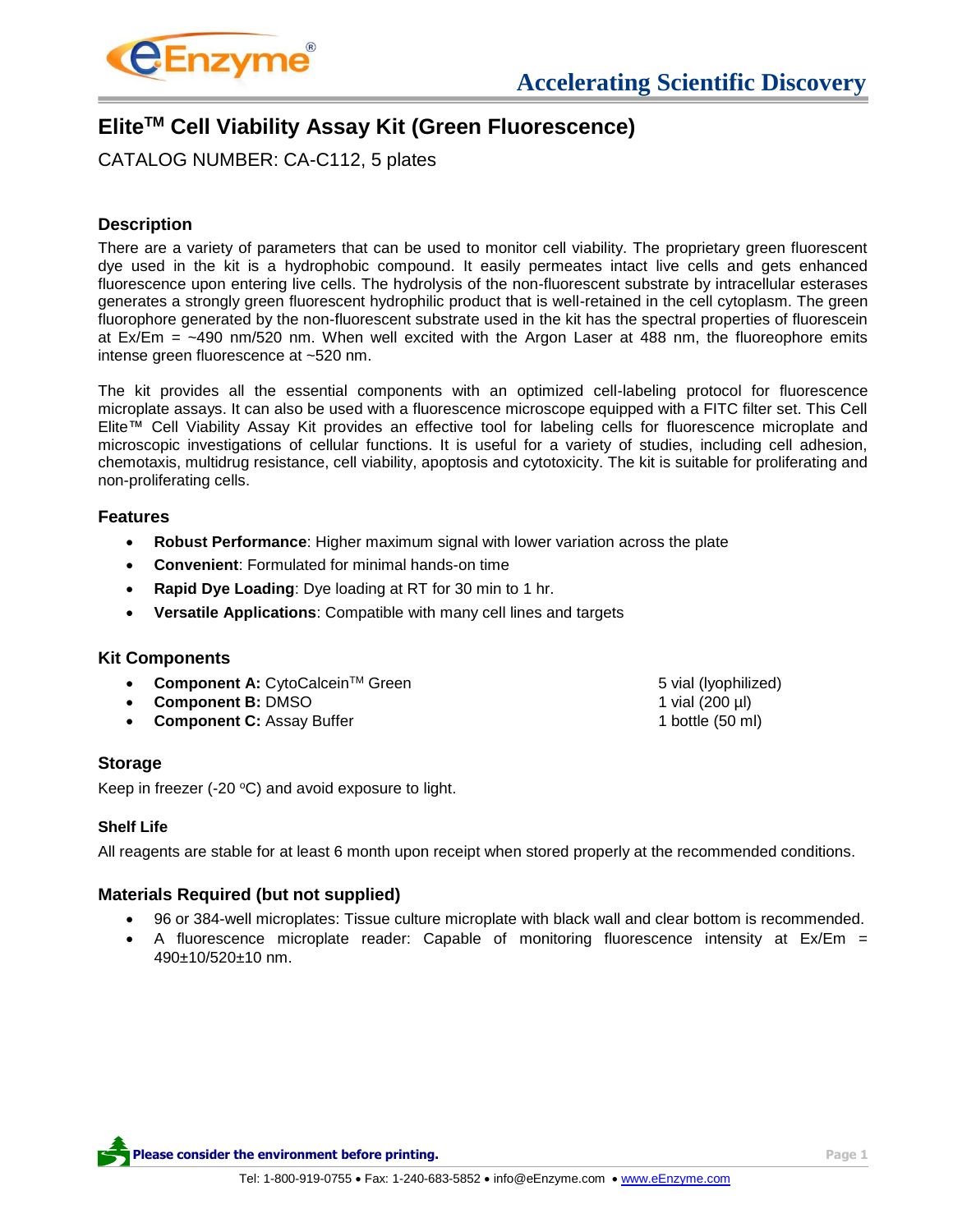

# **EliteTM Cell Viability Assay Kit (Green Fluorescence)**

CATALOG NUMBER: CA-C112, 5 plates

# **Description**

There are a variety of parameters that can be used to monitor cell viability. The proprietary green fluorescent dye used in the kit is a hydrophobic compound. It easily permeates intact live cells and gets enhanced fluorescence upon entering live cells. The hydrolysis of the non-fluorescent substrate by intracellular esterases generates a strongly green fluorescent hydrophilic product that is well-retained in the cell cytoplasm. The green fluorophore generated by the non-fluorescent substrate used in the kit has the spectral properties of fluorescein at Ex/Em = ~490 nm/520 nm. When well excited with the Argon Laser at 488 nm, the fluoreophore emits intense green fluorescence at ~520 nm.

The kit provides all the essential components with an optimized cell-labeling protocol for fluorescence microplate assays. It can also be used with a fluorescence microscope equipped with a FITC filter set. This Cell Elite™ Cell Viability Assay Kit provides an effective tool for labeling cells for fluorescence microplate and microscopic investigations of cellular functions. It is useful for a variety of studies, including cell adhesion, chemotaxis, multidrug resistance, cell viability, apoptosis and cytotoxicity. The kit is suitable for proliferating and non-proliferating cells.

## **Features**

- **Robust Performance**: Higher maximum signal with lower variation across the plate
- **Convenient**: Formulated for minimal hands-on time
- **Rapid Dye Loading**: Dye loading at RT for 30 min to 1 hr.
- **Versatile Applications**: Compatible with many cell lines and targets

# **Kit Components**

- **Component A:** CytoCalcein™ Green 5 vial (lyophilized)
- **Component B:** DMSO 1 vial (200 µl)
- **Component C:** Assay Buffer 1 **bottle (50 ml)** 1 bottle (50 ml)

# **Storage**

Keep in freezer (-20 $\degree$ C) and avoid exposure to light.

## **Shelf Life**

All reagents are stable for at least 6 month upon receipt when stored properly at the recommended conditions.

# **Materials Required (but not supplied)**

- 96 or 384-well microplates: Tissue culture microplate with black wall and clear bottom is recommended.
- A fluorescence microplate reader: Capable of monitoring fluorescence intensity at Ex/Em = 490±10/520±10 nm.

**Please consider the environment before printing. Page 1**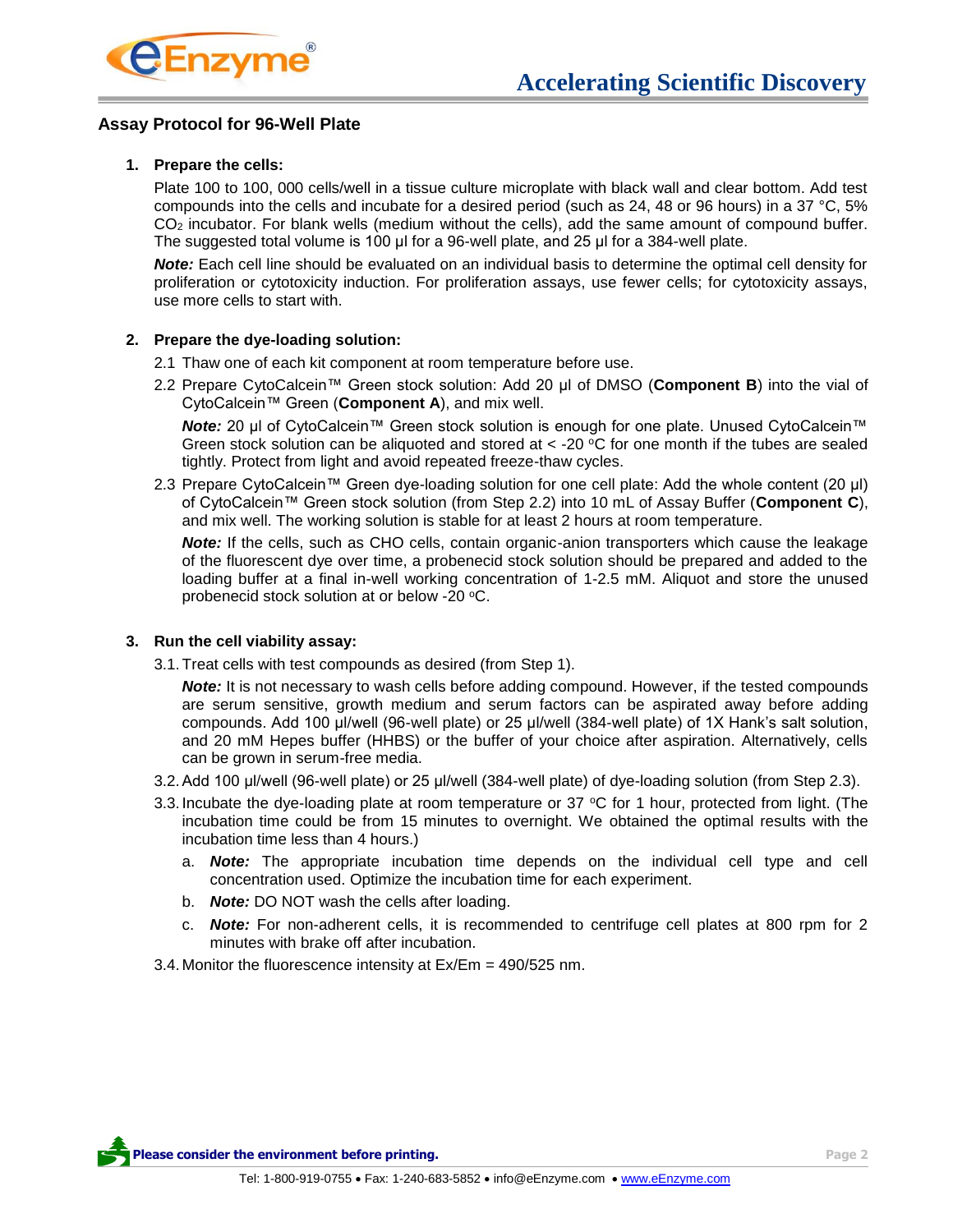

### **Assay Protocol for 96-Well Plate**

#### **1. Prepare the cells:**

Plate 100 to 100, 000 cells/well in a tissue culture microplate with black wall and clear bottom. Add test compounds into the cells and incubate for a desired period (such as 24, 48 or 96 hours) in a 37 °C, 5% CO<sup>2</sup> incubator. For blank wells (medium without the cells), add the same amount of compound buffer. The suggested total volume is 100 μl for a 96-well plate, and 25 μl for a 384-well plate.

*Note:* Each cell line should be evaluated on an individual basis to determine the optimal cell density for proliferation or cytotoxicity induction. For proliferation assays, use fewer cells; for cytotoxicity assays, use more cells to start with.

#### **2. Prepare the dye-loading solution:**

- 2.1 Thaw one of each kit component at room temperature before use.
- 2.2 Prepare CytoCalcein™ Green stock solution: Add 20 μl of DMSO (**Component B**) into the vial of CytoCalcein™ Green (**Component A**), and mix well.

*Note:* 20 μl of CytoCalcein™ Green stock solution is enough for one plate. Unused CytoCalcein™ Green stock solution can be aliquoted and stored at  $\lt$  -20 °C for one month if the tubes are sealed tightly. Protect from light and avoid repeated freeze-thaw cycles.

2.3 Prepare CytoCalcein™ Green dye-loading solution for one cell plate: Add the whole content (20 μl) of CytoCalcein™ Green stock solution (from Step 2.2) into 10 mL of Assay Buffer (**Component C**), and mix well. The working solution is stable for at least 2 hours at room temperature.

*Note:* If the cells, such as CHO cells, contain organic-anion transporters which cause the leakage of the fluorescent dye over time, a probenecid stock solution should be prepared and added to the loading buffer at a final in-well working concentration of 1-2.5 mM. Aliquot and store the unused probenecid stock solution at or below -20 °C.

#### **3. Run the cell viability assay:**

3.1.Treat cells with test compounds as desired (from Step 1).

**Note:** It is not necessary to wash cells before adding compound. However, if the tested compounds are serum sensitive, growth medium and serum factors can be aspirated away before adding compounds. Add 100 μl/well (96-well plate) or 25 μl/well (384-well plate) of 1X Hank's salt solution, and 20 mM Hepes buffer (HHBS) or the buffer of your choice after aspiration. Alternatively, cells can be grown in serum-free media.

- 3.2.Add 100 μl/well (96-well plate) or 25 μl/well (384-well plate) of dye-loading solution (from Step 2.3).
- 3.3. Incubate the dye-loading plate at room temperature or 37 °C for 1 hour, protected from light. (The incubation time could be from 15 minutes to overnight. We obtained the optimal results with the incubation time less than 4 hours.)
	- a. *Note:* The appropriate incubation time depends on the individual cell type and cell concentration used. Optimize the incubation time for each experiment.
	- b. *Note:* DO NOT wash the cells after loading.
	- c. *Note:* For non-adherent cells, it is recommended to centrifuge cell plates at 800 rpm for 2 minutes with brake off after incubation.

3.4. Monitor the fluorescence intensity at Ex/Em = 490/525 nm.

**Please consider the environment before printing. Page 2 Page 2**